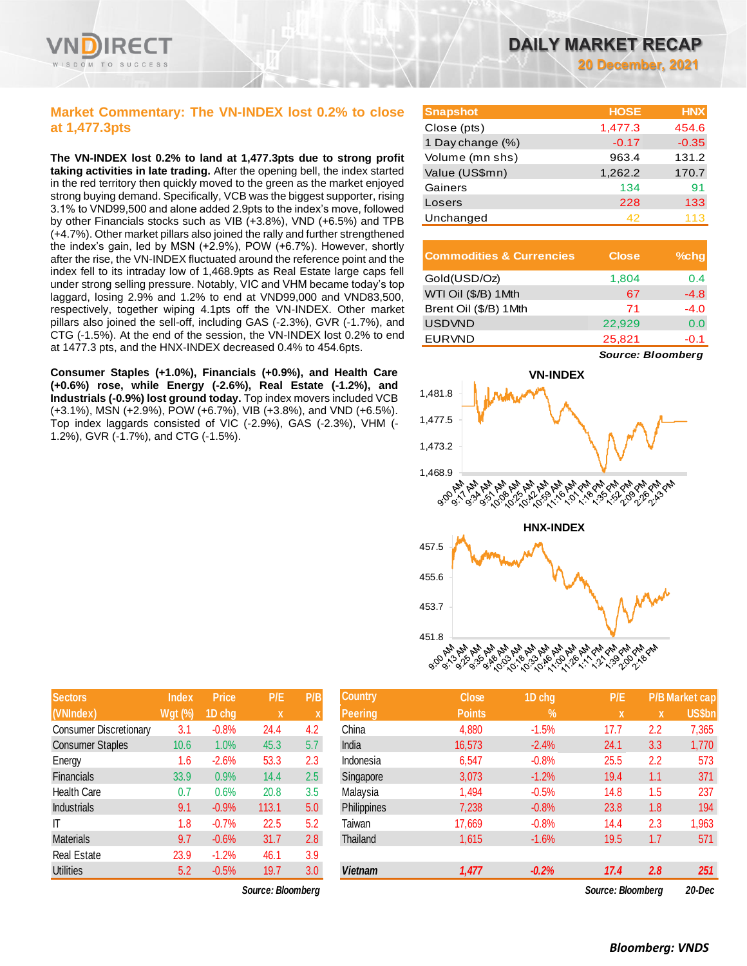

### **Market Commentary: The VN-INDEX lost 0.2% to close at 1,477.3pts**

**The VN-INDEX lost 0.2% to land at 1,477.3pts due to strong profit taking activities in late trading.** After the opening bell, the index started in the red territory then quickly moved to the green as the market enjoyed strong buying demand. Specifically, VCB was the biggest supporter, rising 3.1% to VND99,500 and alone added 2.9pts to the index's move, followed by other Financials stocks such as VIB (+3.8%), VND (+6.5%) and TPB (+4.7%). Other market pillars also joined the rally and further strengthened the index's gain, led by MSN (+2.9%), POW (+6.7%). However, shortly after the rise, the VN-INDEX fluctuated around the reference point and the index fell to its intraday low of 1,468.9pts as Real Estate large caps fell under strong selling pressure. Notably, VIC and VHM became today's top laggard, losing 2.9% and 1.2% to end at VND99,000 and VND83,500, respectively, together wiping 4.1pts off the VN-INDEX. Other market pillars also joined the sell-off, including GAS (-2.3%), GVR (-1.7%), and CTG (-1.5%). At the end of the session, the VN-INDEX lost 0.2% to end at 1477.3 pts, and the HNX-INDEX decreased 0.4% to 454.6pts.

**Consumer Staples (+1.0%), Financials (+0.9%), and Health Care (+0.6%) rose, while Energy (-2.6%), Real Estate (-1.2%), and Industrials (-0.9%) lost ground today.** Top index movers included VCB (+3.1%), MSN (+2.9%), POW (+6.7%), VIB (+3.8%), and VND (+6.5%). Top index laggards consisted of VIC (-2.9%), GAS (-2.3%), VHM (- 1.2%), GVR (-1.7%), and CTG (-1.5%).

**20 December, 2021**

| <b>Snapshot</b>  | <b>HOSE</b> | <b>HNX</b> |
|------------------|-------------|------------|
| Close (pts)      | 1,477.3     | 454.6      |
| 1 Day change (%) | $-0.17$     | $-0.35$    |
| Volume (mn shs)  | 963.4       | 131.2      |
| Value (US\$mn)   | 1,262.2     | 170.7      |
| Gainers          | 134         | 91         |
| Losers           | 228         | 133        |
| Unchanged        | 42          | 113        |

| <b>Commodities &amp; Currencies</b> | <b>Close</b> | $%$ chq |
|-------------------------------------|--------------|---------|
| Gold(USD/Oz)                        | 1,804        | 0.4     |
| WTI Oil (\$/B) 1Mth                 | 67           | $-4.8$  |
| Brent Oil (\$/B) 1Mth               | 71           | $-4.0$  |
| <b>USDVND</b>                       | 22,929       | 0.0     |
| <b>EURVND</b>                       | 25,821       | $-0.1$  |

*Source: Bloomberg*



| <b>Sectors</b>                | <b>Index</b>   | <b>Price</b> | P/E   | P/B |
|-------------------------------|----------------|--------------|-------|-----|
| (VNIndex)                     | <b>Wgt (%)</b> | 1D chg       | X     | X   |
| <b>Consumer Discretionary</b> | 3.1            | $-0.8%$      | 24.4  | 4.2 |
| <b>Consumer Staples</b>       | 10.6           | 1.0%         | 45.3  | 5.7 |
| Energy                        | 1.6            | $-2.6%$      | 53.3  | 2.3 |
| <b>Financials</b>             | 33.9           | 0.9%         | 14.4  | 2.5 |
| <b>Health Care</b>            | 0.7            | 0.6%         | 20.8  | 3.5 |
| <b>Industrials</b>            | 9.1            | $-0.9%$      | 113.1 | 5.0 |
| IT                            | 1.8            | $-0.7%$      | 22.5  | 5.2 |
| <b>Materials</b>              | 9.7            | $-0.6%$      | 31.7  | 2.8 |
| <b>Real Estate</b>            | 23.9           | $-1.2%$      | 46.1  | 3.9 |
| <b>Utilities</b>              | 5.2            | $-0.5%$      | 19.7  | 3.0 |

 $Source: Bloomberg$ 

| <b>Sectors</b>                | Index          | <b>Price</b> | P/E               | P/B              | <b>Country</b> | <b>Close</b>  | 1D chg        | P/E               |     | <b>P/B Market cap</b> |
|-------------------------------|----------------|--------------|-------------------|------------------|----------------|---------------|---------------|-------------------|-----|-----------------------|
| (VNIndex)                     | <b>Wgt (%)</b> | 1D chg       | $\mathbf x$       |                  | <b>Peering</b> | <b>Points</b> | $\frac{9}{6}$ | X                 | X   | <b>US\$bn</b>         |
| <b>Consumer Discretionary</b> | 3.1            | $-0.8%$      | 24.4              | 4.2              | China          | 4,880         | $-1.5%$       | 17.7              | 2.2 | 7,365                 |
| <b>Consumer Staples</b>       | 10.6           | 1.0%         | 45.3              | 5.7              | India          | 16.573        | $-2.4%$       | 24.1              | 3.3 | 1,770                 |
| Energy                        | 1.6            | $-2.6%$      | 53.3              | 2.3              | Indonesia      | 6,547         | $-0.8%$       | 25.5              | 2.2 | 573                   |
| Financials                    | 33.9           | 0.9%         | 14.4              | 2.5              | Singapore      | 3,073         | $-1.2%$       | 19.4              | 1.1 | 371                   |
| <b>Health Care</b>            | 0.7            | 0.6%         | 20.8              | 3.5              | Malaysia       | 1,494         | $-0.5%$       | 14.8              | 1.5 | 237                   |
| <b>Industrials</b>            | 9.1            | $-0.9%$      | 113.1             | 5.0              | Philippines    | 7,238         | $-0.8%$       | 23.8              | 1.8 | 194                   |
| ΙT                            | 1.8            | $-0.7%$      | 22.5              | 5.2              | Taiwan         | 17,669        | $-0.8%$       | 14.4              | 2.3 | 1,963                 |
| <b>Materials</b>              | 9.7            | $-0.6%$      | 31.7              | 2.8              | Thailand       | 1,615         | $-1.6%$       | 19.5              | 1.7 | 571                   |
| Real Estate                   | 23.9           | $-1.2%$      | 46.1              | 3.9              |                |               |               |                   |     |                       |
| <b>Utilities</b>              | 5.2            | $-0.5%$      | 19.7              | 3.0 <sub>2</sub> | <b>Vietnam</b> | 1,477         | $-0.2%$       | 17.4              | 2.8 | 251                   |
|                               |                |              | Source: Bloomberg |                  |                |               |               | Source: Bloomberg |     | $20 - D$ ec           |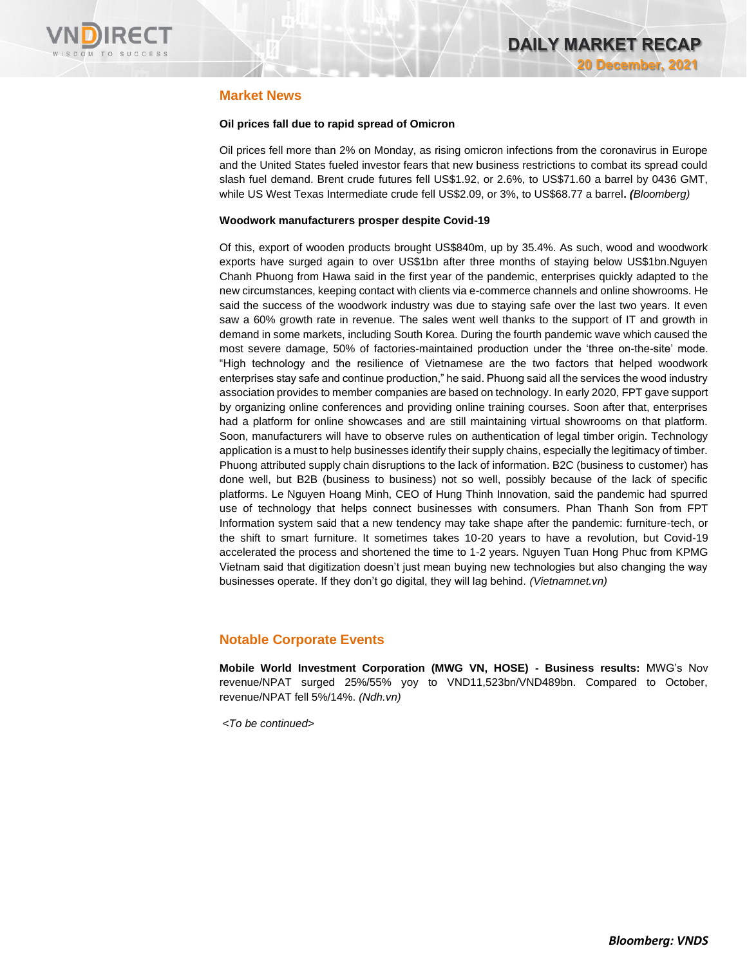

### **Market News**

#### **Oil prices fall due to rapid spread of Omicron**

Oil prices fell more than 2% on Monday, as rising omicron infections from the coronavirus in Europe and the United States fueled investor fears that new business restrictions to combat its spread could slash fuel demand. Brent crude futures fell US\$1.92, or 2.6%, to US\$71.60 a barrel by 0436 GMT, while US West Texas Intermediate crude fell US\$2.09, or 3%, to US\$68.77 a barrel**.** *(Bloomberg)*

#### **Woodwork manufacturers prosper despite Covid-19**

Of this, export of wooden products brought US\$840m, up by 35.4%. As such, wood and woodwork exports have surged again to over US\$1bn after three months of staying below US\$1bn.Nguyen Chanh Phuong from Hawa said in the first year of the pandemic, enterprises quickly adapted to the new circumstances, keeping contact with clients via e-commerce channels and online showrooms. He said the success of the woodwork industry was due to staying safe over the last two years. It even saw a 60% growth rate in revenue. The sales went well thanks to the support of IT and growth in demand in some markets, including South Korea. During the fourth pandemic wave which caused the most severe damage, 50% of factories-maintained production under the 'three on-the-site' mode. "High technology and the resilience of Vietnamese are the two factors that helped woodwork enterprises stay safe and continue production," he said. Phuong said all the services the wood industry association provides to member companies are based on technology. In early 2020, FPT gave support by organizing online conferences and providing online training courses. Soon after that, enterprises had a platform for online showcases and are still maintaining virtual showrooms on that platform. Soon, manufacturers will have to observe rules on authentication of legal timber origin. Technology application is a must to help businesses identify their supply chains, especially the legitimacy of timber. Phuong attributed supply chain disruptions to the lack of information. B2C (business to customer) has done well, but B2B (business to business) not so well, possibly because of the lack of specific platforms. Le Nguyen Hoang Minh, CEO of Hung Thinh Innovation, said the pandemic had spurred use of technology that helps connect businesses with consumers. Phan Thanh Son from FPT Information system said that a new tendency may take shape after the pandemic: furniture-tech, or the shift to smart furniture. It sometimes takes 10-20 years to have a revolution, but Covid-19 accelerated the process and shortened the time to 1-2 years. Nguyen Tuan Hong Phuc from KPMG Vietnam said that digitization doesn't just mean buying new technologies but also changing the way businesses operate. If they don't go digital, they will lag behind. *(Vietnamnet.vn)*

### **Notable Corporate Events**

**Mobile World Investment Corporation (MWG VN, HOSE) - Business results:** MWG's Nov revenue/NPAT surged 25%/55% yoy to VND11,523bn/VND489bn. Compared to October, revenue/NPAT fell 5%/14%. *(Ndh.vn)* 

*<To be continued>*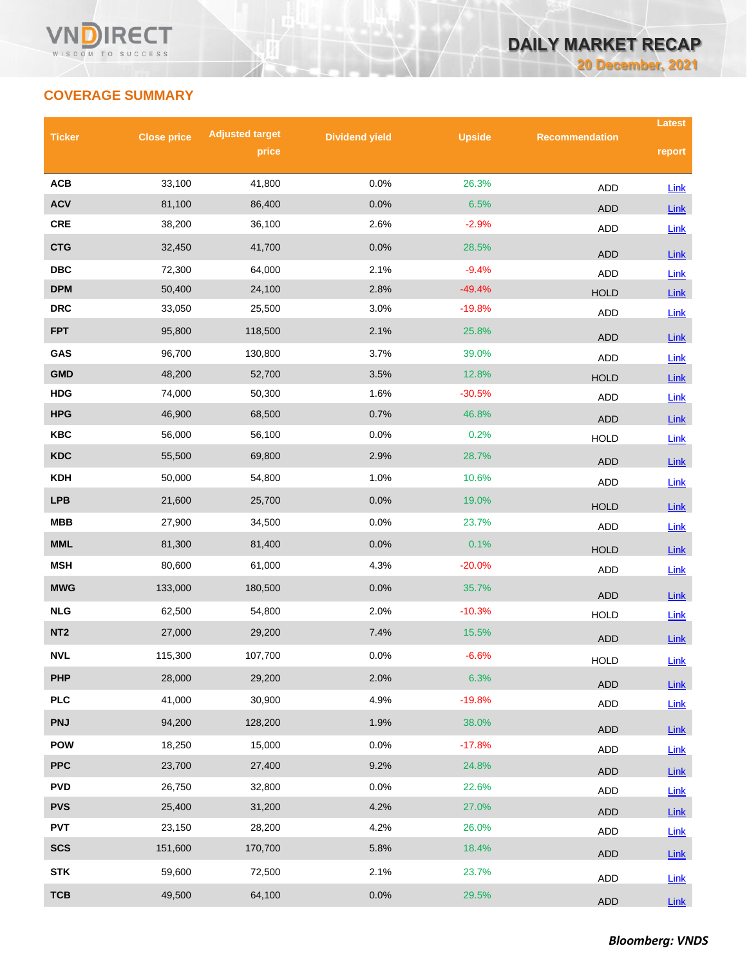## **COVERAGE SUMMARY**

| <b>Ticker</b>           | <b>Close price</b> | <b>Adjusted target</b> | <b>Dividend yield</b> | <b>Upside</b>  | <b>Recommendation</b> | <b>Latest</b>       |
|-------------------------|--------------------|------------------------|-----------------------|----------------|-----------------------|---------------------|
|                         |                    | price                  |                       |                |                       | report              |
| <b>ACB</b>              | 33,100             | 41,800                 | 0.0%                  | 26.3%          |                       |                     |
| <b>ACV</b>              | 81,100             | 86,400                 | 0.0%                  | 6.5%           | ADD                   | <b>Link</b>         |
| <b>CRE</b>              | 38,200             | 36,100                 | 2.6%                  | $-2.9%$        | <b>ADD</b>            | Link                |
| <b>CTG</b>              | 32,450             | 41,700                 | 0.0%                  | 28.5%          | ADD                   | Link                |
| $\overline{\text{DBC}}$ | 72,300             | 64,000                 | 2.1%                  | $-9.4%$        | <b>ADD</b>            | Link                |
| <b>DPM</b>              | 50,400             | 24,100                 | 2.8%                  | $-49.4%$       | <b>ADD</b>            | Link                |
| <b>DRC</b>              | 33,050             | 25,500                 | 3.0%                  | $-19.8%$       | <b>HOLD</b>           | Link                |
| <b>FPT</b>              | 95,800             | 118,500                | 2.1%                  | 25.8%          | ADD                   | <b>Link</b>         |
|                         |                    |                        |                       |                | <b>ADD</b>            | Link                |
| GAS<br><b>GMD</b>       | 96,700             | 130,800                | 3.7%<br>3.5%          | 39.0%<br>12.8% | <b>ADD</b>            | $Link$              |
| <b>HDG</b>              | 48,200<br>74,000   | 52,700<br>50,300       | 1.6%                  | $-30.5%$       | <b>HOLD</b>           | <b>Link</b>         |
| <b>HPG</b>              | 46,900             | 68,500                 | 0.7%                  | 46.8%          | ADD                   | Link                |
| <b>KBC</b>              | 56,000             | 56,100                 | 0.0%                  | 0.2%           | <b>ADD</b>            | Link                |
| <b>KDC</b>              | 55,500             | 69,800                 | 2.9%                  | 28.7%          | <b>HOLD</b>           | <b>Link</b>         |
| <b>KDH</b>              | 50,000             | 54,800                 | 1.0%                  | 10.6%          | <b>ADD</b>            | Link                |
| <b>LPB</b>              |                    |                        |                       |                | <b>ADD</b>            | <b>Link</b>         |
|                         | 21,600             | 25,700                 | 0.0%                  | 19.0%          | <b>HOLD</b>           | Link                |
| <b>MBB</b>              | 27,900             | 34,500                 | 0.0%                  | 23.7%          | <b>ADD</b>            | <b>Link</b>         |
| <b>MML</b>              | 81,300             | 81,400                 | 0.0%                  | 0.1%           | <b>HOLD</b>           | Link                |
| <b>MSH</b>              | 80,600             | 61,000                 | 4.3%                  | $-20.0%$       | <b>ADD</b>            | <b>Link</b>         |
| <b>MWG</b>              | 133,000            | 180,500                | 0.0%                  | 35.7%          | <b>ADD</b>            | Link                |
| <b>NLG</b>              | 62,500             | 54,800                 | 2.0%                  | $-10.3%$       | <b>HOLD</b>           | Link                |
| NT <sub>2</sub>         | 27,000             | 29,200                 | 7.4%                  | 15.5%          | <b>ADD</b>            | <b>Link</b>         |
| <b>NVL</b>              | 115,300            | 107,700                | 0.0%                  | $-6.6%$        | <b>HOLD</b>           | Link                |
| <b>PHP</b>              | 28,000             | 29,200                 | 2.0%                  | 6.3%           | <b>ADD</b>            | Link                |
| <b>PLC</b>              | 41,000             | 30,900                 | 4.9%                  | $-19.8%$       | ADD                   | Link                |
| <b>PNJ</b>              | 94,200             | 128,200                | 1.9%                  | 38.0%          | ADD                   |                     |
| <b>POW</b>              | 18,250             | 15,000                 | 0.0%                  | $-17.8%$       | ADD                   | <b>Link</b><br>Link |
| <b>PPC</b>              | 23,700             | 27,400                 | 9.2%                  | 24.8%          | <b>ADD</b>            | $Link$              |
| <b>PVD</b>              | 26,750             | 32,800                 | 0.0%                  | 22.6%          | ADD                   | Link                |
| <b>PVS</b>              | 25,400             | 31,200                 | 4.2%                  | 27.0%          | <b>ADD</b>            | $Link$              |
| <b>PVT</b>              | 23,150             | 28,200                 | 4.2%                  | 26.0%          | ADD                   | Link                |
| <b>SCS</b>              | 151,600            | 170,700                | 5.8%                  | 18.4%          | ADD                   | $Link$              |
| <b>STK</b>              | 59,600             | 72,500                 | 2.1%                  | 23.7%          |                       |                     |
| <b>TCB</b>              | 49,500             | 64,100                 | 0.0%                  | 29.5%          | ADD                   | $Link$              |
|                         |                    |                        |                       |                | ADD                   | Link                |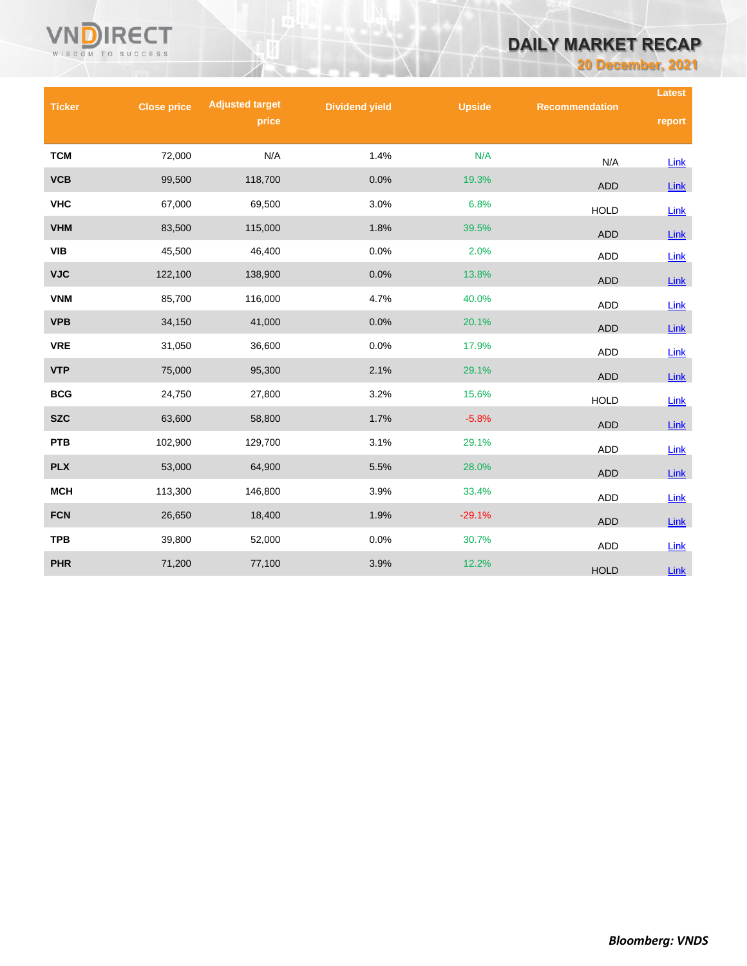# **DAILY MARKET RECAP**

**20 December, 2021**

|               |                    |                        |                       |               |                       | <b>Latest</b> |
|---------------|--------------------|------------------------|-----------------------|---------------|-----------------------|---------------|
| <b>Ticker</b> | <b>Close price</b> | <b>Adjusted target</b> | <b>Dividend yield</b> | <b>Upside</b> | <b>Recommendation</b> |               |
|               |                    | price                  |                       |               |                       | report        |
| <b>TCM</b>    | 72,000             | N/A                    | 1.4%                  | N/A           |                       |               |
|               |                    |                        |                       |               | N/A                   | Link          |
| <b>VCB</b>    | 99,500             | 118,700                | 0.0%                  | 19.3%         | <b>ADD</b>            | <b>Link</b>   |
| <b>VHC</b>    | 67,000             | 69,500                 | 3.0%                  | 6.8%          | <b>HOLD</b>           | Link          |
| <b>VHM</b>    | 83,500             | 115,000                | 1.8%                  | 39.5%         | <b>ADD</b>            | Link          |
| <b>VIB</b>    | 45,500             | 46,400                 | 0.0%                  | 2.0%          | <b>ADD</b>            | Link          |
| <b>VJC</b>    | 122,100            | 138,900                | 0.0%                  | 13.8%         | <b>ADD</b>            | $Link$        |
| <b>VNM</b>    | 85,700             | 116,000                | 4.7%                  | 40.0%         | <b>ADD</b>            | Link          |
| <b>VPB</b>    | 34,150             | 41,000                 | 0.0%                  | 20.1%         | <b>ADD</b>            | Link          |
| <b>VRE</b>    | 31,050             | 36,600                 | 0.0%                  | 17.9%         | <b>ADD</b>            | Link          |
| <b>VTP</b>    | 75,000             | 95,300                 | 2.1%                  | 29.1%         | <b>ADD</b>            | Link          |
| <b>BCG</b>    | 24,750             | 27,800                 | 3.2%                  | 15.6%         | <b>HOLD</b>           | Link          |
| <b>SZC</b>    | 63,600             | 58,800                 | 1.7%                  | $-5.8%$       | <b>ADD</b>            | Link          |
| <b>PTB</b>    | 102,900            | 129,700                | 3.1%                  | 29.1%         | ADD                   | Link          |
| <b>PLX</b>    | 53,000             | 64,900                 | 5.5%                  | 28.0%         | <b>ADD</b>            | <b>Link</b>   |
| <b>MCH</b>    | 113,300            | 146,800                | 3.9%                  | 33.4%         | <b>ADD</b>            | Link          |
| <b>FCN</b>    | 26,650             | 18,400                 | 1.9%                  | $-29.1%$      | <b>ADD</b>            | Link          |
| <b>TPB</b>    | 39,800             | 52,000                 | 0.0%                  | 30.7%         | <b>ADD</b>            | Link          |
| <b>PHR</b>    | 71,200             | 77,100                 | 3.9%                  | 12.2%         | <b>HOLD</b>           | <b>Link</b>   |

VNÑ

**RECT** 

WISDOM TO SUCCESS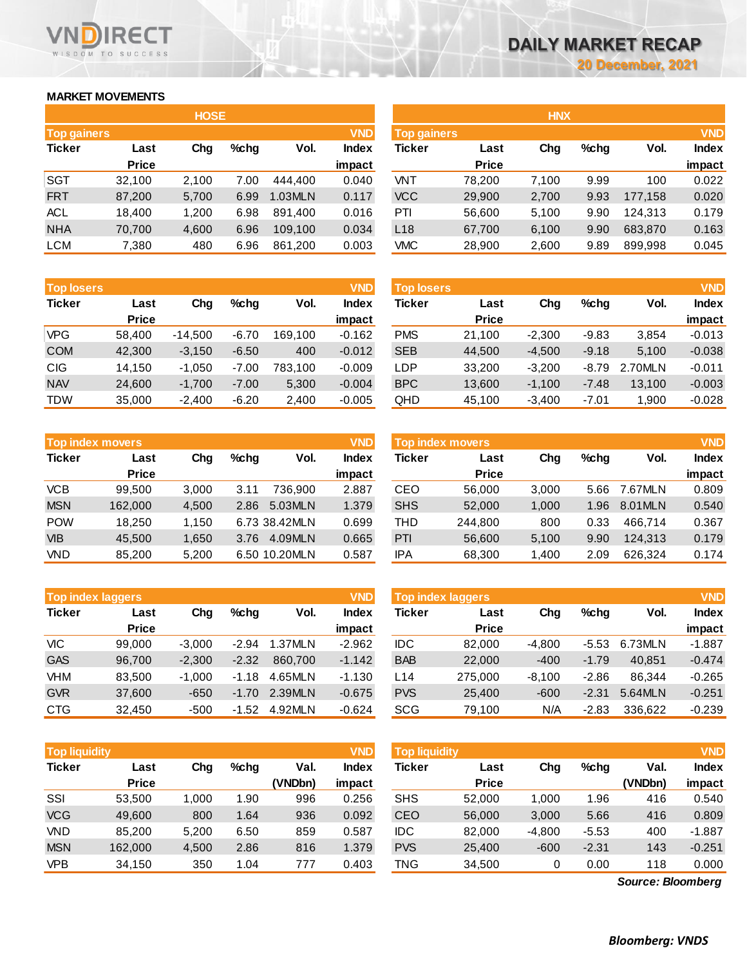**impact**

### **MARKET MOVEMENTS**

WISDOM TO SUCCESS

RECT

|                    |              | <b>HOSE</b> |         |         |            |                 |              | <b>HNX</b> |         |         |            |
|--------------------|--------------|-------------|---------|---------|------------|-----------------|--------------|------------|---------|---------|------------|
| <b>Top gainers</b> |              |             |         |         | <b>VND</b> | Top gainers     |              |            |         |         | <b>VND</b> |
| <b>Ticker</b>      | Last         | Chg         | $%$ chg | Vol.    | Index      | Ticker          | Last         | Chg        | $%$ chg | Vol.    | Index      |
|                    | <b>Price</b> |             |         |         | impact     |                 | <b>Price</b> |            |         |         | impact     |
| <b>SGT</b>         | 32,100       | 2,100       | 7.00    | 444.400 | 0.040      | VNT             | 78,200       | 7,100      | 9.99    | 100     | 0.022      |
| <b>FRT</b>         | 87,200       | 5,700       | 6.99    | 1.03MLN | 0.117      | <b>VCC</b>      | 29,900       | 2,700      | 9.93    | 177.158 | 0.020      |
| <b>ACL</b>         | 18,400       | 1,200       | 6.98    | 891.400 | 0.016      | PTI             | 56,600       | 5,100      | 9.90    | 124.313 | 0.179      |
| <b>NHA</b>         | 70,700       | 4,600       | 6.96    | 109,100 | 0.034      | L <sub>18</sub> | 67,700       | 6,100      | 9.90    | 683,870 | 0.163      |
| <b>LCM</b>         | 7,380        | 480         | 6.96    | 861,200 | 0.003      | <b>VMC</b>      | 28,900       | 2,600      | 9.89    | 899,998 | 0.045      |
|                    |              |             |         |         |            |                 |              |            |         |         |            |

|                   | <b>Price</b> |       |         |         | impact       |                   | <b>Price</b> |       |         |         | impact       |
|-------------------|--------------|-------|---------|---------|--------------|-------------------|--------------|-------|---------|---------|--------------|
| Ticker            | Last         | Chg   | $%$ chg | Vol.    | <b>Index</b> | Ticker            | Last         | Chg   | $%$ chg | Vol.    | <b>Index</b> |
| <b>Top losers</b> |              |       |         |         | <b>VND</b>   | <b>Top losers</b> |              |       |         |         | <b>VND</b>   |
|                   |              |       |         |         |              |                   |              |       |         |         |              |
| LCM               | 7,380        | 480   | 6.96    | 861,200 | 0.003        | VMC.              | 28,900       | 2,600 | 9.89    | 899,998 | 0.045        |
| <b>NHA</b>        | 70,700       | 4,600 | 6.96    | 109.100 | 0.034        | L18               | 67,700       | 6,100 | 9.90    | 683,870 | 0.163        |
| <b>ACL</b>        | 18,400       | 1,200 | 6.98    | 891,400 | 0.016        | PTI               | 56,600       | 5,100 | 9.90    | 124,313 | 0.179        |
| <b>FRT</b>        | 87,200       | 5,700 | 6.99    | 1.03MLN | 0.117        | VCC               | 29,900       | 2,700 | 9.93    | 177.158 | 0.020        |
|                   |              |       |         |         |              |                   |              |       |         |         |              |

| <b>TOD IOSERS</b> |              |           |         |         | VND      | <b>TOD JOSEFS</b> |              |          |         |         | VND      |
|-------------------|--------------|-----------|---------|---------|----------|-------------------|--------------|----------|---------|---------|----------|
| <b>Ticker</b>     | Last         | Chg       | $%$ chg | Vol.    | Index    | <b>Ticker</b>     | Last         | Chg      | $%$ chq | Vol.    | Index    |
|                   | <b>Price</b> |           |         |         | impact   |                   | <b>Price</b> |          |         |         | impact   |
| <b>VPG</b>        | 58.400       | $-14.500$ | $-6.70$ | 169.100 | $-0.162$ | <b>PMS</b>        | 21.100       | $-2.300$ | $-9.83$ | 3,854   | $-0.013$ |
| <b>COM</b>        | 42,300       | $-3,150$  | $-6.50$ | 400     | $-0.012$ | <b>SEB</b>        | 44.500       | $-4,500$ | $-9.18$ | 5.100   | $-0.038$ |
| <b>CIG</b>        | 14.150       | $-1.050$  | $-7.00$ | 783.100 | $-0.009$ | LDP               | 33.200       | $-3.200$ | -8.79   | 2.70MLN | $-0.011$ |
| <b>NAV</b>        | 24,600       | $-1.700$  | $-7.00$ | 5,300   | $-0.004$ | <b>BPC</b>        | 13,600       | $-1.100$ | $-7.48$ | 13.100  | $-0.003$ |
| <b>TDW</b>        | 35,000       | $-2.400$  | $-6.20$ | 2.400   | $-0.005$ | QHD               | 45.100       | $-3.400$ | $-7.01$ | 900. ا  | $-0.028$ |

| <b>Top index movers</b> |              |       |         |               | <b>VND</b>   |            | Top index movers |       |         |              | <b>VND</b> |
|-------------------------|--------------|-------|---------|---------------|--------------|------------|------------------|-------|---------|--------------|------------|
| <b>Ticker</b>           | Last         | Chg   | $%$ chg | Vol.          | <b>Index</b> | Ticker     | Last             | Chg   | $%$ chq | Vol.         | Index      |
|                         | <b>Price</b> |       |         |               | impact       |            | <b>Price</b>     |       |         |              | impact     |
| <b>VCB</b>              | 99.500       | 3,000 | 3.11    | 736.900       | 2.887        | CEO        | 56,000           | 3,000 |         | 5.66 7.67MLN | 0.809      |
| <b>MSN</b>              | 162,000      | 4.500 | 2.86    | 5.03MLN       | 1.379        | <b>SHS</b> | 52,000           | 1,000 | 1.96    | 8.01MLN      | 0.540      |
| <b>POW</b>              | 18.250       | 1.150 |         | 6.73 38.42MLN | 0.699        | THD        | 244.800          | 800   | 0.33    | 466.714      | 0.367      |
| <b>VIB</b>              | 45,500       | 1,650 | 3.76    | 4.09MLN       | 0.665        | PTI        | 56,600           | 5,100 | 9.90    | 124.313      | 0.179      |
| <b>VND</b>              | 85,200       | 5.200 |         | 6.50 10.20MLN | 0.587        | IPA        | 68,300           | 1.400 | 2.09    | 626.324      | 0.174      |

| <b>Top index laggers</b> |              |          |         |         | <b>VND</b>   |
|--------------------------|--------------|----------|---------|---------|--------------|
| <b>Ticker</b>            | Last         | Cha      | $%$ chg | Vol.    | <b>Index</b> |
|                          | <b>Price</b> |          |         |         | impact       |
| <b>VIC</b>               | 99,000       | $-3,000$ | $-2.94$ | 1.37MLN | $-2.962$     |
| <b>GAS</b>               | 96,700       | $-2,300$ | $-2.32$ | 860.700 | $-1.142$     |
| <b>VHM</b>               | 83,500       | $-1,000$ | $-1.18$ | 4.65MLN | $-1.130$     |
| <b>GVR</b>               | 37,600       | $-650$   | $-1.70$ | 2.39MLN | $-0.675$     |
| <b>CTG</b>               | 32,450       | $-500$   | $-1.52$ | 4.92MLN | $-0.624$     |

| CIG                     | 14.150       | $-1,050$ | $-7.00$ | 783.100       | $-0.009$     | ∟DP                     | 33,200       | $-3.200$ | $-8.79$ | 2.70MLN | $-0.011$     |
|-------------------------|--------------|----------|---------|---------------|--------------|-------------------------|--------------|----------|---------|---------|--------------|
| <b>NAV</b>              | 24,600       | $-1,700$ | $-7.00$ | 5,300         | $-0.004$     | <b>BPC</b>              | 13,600       | $-1,100$ | $-7.48$ | 13,100  | $-0.003$     |
| TDW                     | 35,000       | $-2,400$ | $-6.20$ | 2,400         | $-0.005$     | QHD                     | 45,100       | $-3,400$ | $-7.01$ | 1,900   | $-0.028$     |
|                         |              |          |         |               |              |                         |              |          |         |         |              |
| <b>Top index movers</b> |              |          |         |               | <b>VND</b>   | <b>Top index movers</b> |              |          |         |         | <b>VND</b>   |
|                         |              |          |         |               |              |                         |              |          |         |         |              |
| Ticker                  | Last         | Chg      | $%$ chg | Vol.          | <b>Index</b> | <b>Ticker</b>           | Last         | Chg      | $%$ chg | Vol.    | <b>Index</b> |
|                         | <b>Price</b> |          |         |               | impact       |                         | <b>Price</b> |          |         |         | impact       |
| VCB                     | 99,500       | 3,000    | 3.11    | 736.900       | 2.887        | CEO                     | 56,000       | 3,000    | 5.66    | 7.67MLN | 0.809        |
| <b>MSN</b>              | 162,000      | 4,500    | 2.86    | 5.03MLN       | 1.379        | <b>SHS</b>              | 52,000       | 1,000    | 1.96    | 8.01MLN | 0.540        |
| <b>POW</b>              | 18,250       | 1,150    |         | 6.73 38.42MLN | 0.699        | THD                     | 244,800      | 800      | 0.33    | 466,714 | 0.367        |

| <b>Top index laggers</b> |              |          |         | <b>VND</b> | <b>Top index laggers</b> |            |              |          |         |         |              |
|--------------------------|--------------|----------|---------|------------|--------------------------|------------|--------------|----------|---------|---------|--------------|
| Ticker                   | Last         | Chg      | $%$ chg | Vol.       | <b>Index</b>             | Ticker     | Last         | Chg      | $%$ chg | Vol.    | <b>Index</b> |
|                          | <b>Price</b> |          |         |            | impact                   |            | <b>Price</b> |          |         |         | impact       |
| VIC                      | 99.000       | $-3.000$ | $-2.94$ | 1.37MLN    | $-2.962$                 | <b>IDC</b> | 82.000       | $-4.800$ | $-5.53$ | 6.73MLN | $-1.887$     |
| <b>GAS</b>               | 96.700       | $-2.300$ | $-2.32$ | 860,700    | $-1.142$                 | <b>BAB</b> | 22,000       | $-400$   | $-1.79$ | 40.851  | $-0.474$     |
| VHM                      | 83.500       | $-1.000$ | $-1.18$ | 4.65MLN    | $-1.130$                 | L14        | 275.000      | $-8.100$ | $-2.86$ | 86.344  | $-0.265$     |
| <b>GVR</b>               | 37,600       | $-650$   | $-1.70$ | 2.39MLN    | $-0.675$                 | <b>PVS</b> | 25.400       | $-600$   | $-2.31$ | 5.64MLN | $-0.251$     |
| CTG                      | 32,450       | $-500$   | $-1.52$ | 4.92MLN    | $-0.624$                 | SCG        | 79,100       | N/A      | $-2.83$ | 336.622 | $-0.239$     |

| <b>Top liquidity</b> |              |       |       |         | <b>VND</b> | <b>Top liquidity</b> |              |          |         |         | <b>VND</b>   |
|----------------------|--------------|-------|-------|---------|------------|----------------------|--------------|----------|---------|---------|--------------|
| <b>Ticker</b>        | Last         | Chg   | %chq  | Val.    | Index      | Ticker               | Last         | Chg      | $%$ chg | Val.    | <b>Index</b> |
|                      | <b>Price</b> |       |       | (VNDbn) | impact     |                      | <b>Price</b> |          |         | (VNDbn) | impact       |
| SSI                  | 53.500       | .000  | 1.90  | 996     | 0.256      | <b>SHS</b>           | 52,000       | 1,000    | 1.96    | 416     | 0.540        |
| <b>VCG</b>           | 49,600       | 800   | 1.64  | 936     | 0.092      | CEO                  | 56,000       | 3,000    | 5.66    | 416     | 0.809        |
| <b>VND</b>           | 85,200       | 5.200 | 6.50  | 859     | 0.587      | IDC                  | 82.000       | $-4.800$ | $-5.53$ | 400     | $-1.887$     |
| <b>MSN</b>           | 162,000      | 4,500 | 2.86  | 816     | 1.379      | <b>PVS</b>           | 25,400       | $-600$   | $-2.31$ | 143     | $-0.251$     |
| VPB                  | 34.150       | 350   | 04. ا | 777     | 0.403      | TNG                  | 34.500       | 0        | 0.00    | 118     | 0.000        |

*Source: Bloomberg*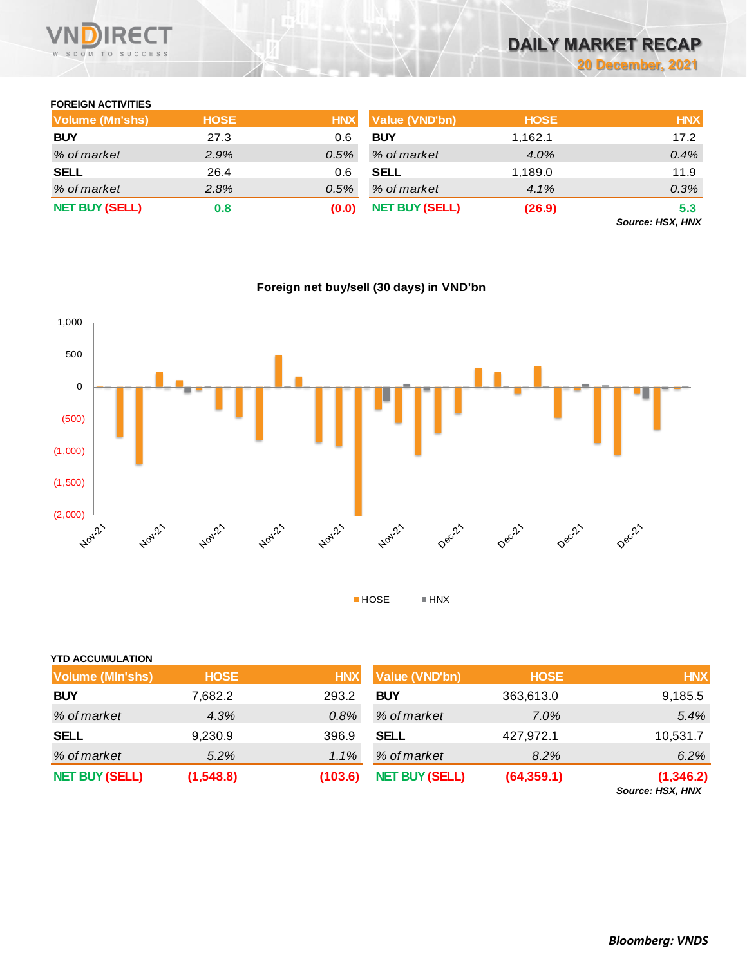

### **FOREIGN ACTIVITIES**

| Volume (Mn'shs)       | <b>HOSE</b> | <b>HNX</b> | <b>Value (VND'bn)</b> | <b>HOSE</b> | <b>HNX</b>             |
|-----------------------|-------------|------------|-----------------------|-------------|------------------------|
| <b>BUY</b>            | 27.3        | 0.6        | <b>BUY</b>            | 1.162.1     | 17.2                   |
| % of market           | 2.9%        | $0.5\%$    | % of market           | 4.0%        | 0.4%                   |
| <b>SELL</b>           | 26.4        | 0.6        | <b>SELL</b>           | 1,189.0     | 11.9                   |
| % of market           | 2.8%        | 0.5%       | % of market           | 4.1%        | 0.3%                   |
| <b>NET BUY (SELL)</b> | 0.8         | (0.0)      | <b>NET BUY (SELL)</b> | (26.9)      | 5.3<br>Course HCV HAIV |

*Source: HSX, HNX*



|  |  | Foreign net buy/sell (30 days) in VND'bn |
|--|--|------------------------------------------|
|  |  |                                          |

| <b>YTD ACCUMULATION</b> |             |            |                       |             |                                |
|-------------------------|-------------|------------|-----------------------|-------------|--------------------------------|
| <b>Volume (MIn'shs)</b> | <b>HOSE</b> | <b>HNX</b> | <b>Value (VND'bn)</b> | <b>HOSE</b> | <b>HNX</b>                     |
| <b>BUY</b>              | 7,682.2     | 293.2      | <b>BUY</b>            | 363,613.0   | 9,185.5                        |
| % of market             | 4.3%        | $0.8\%$    | % of market           | 7.0%        | 5.4%                           |
| <b>SELL</b>             | 9,230.9     | 396.9      | <b>SELL</b>           | 427,972.1   | 10,531.7                       |
| % of market             | 5.2%        | 1.1%       | % of market           | 8.2%        | 6.2%                           |
| <b>NET BUY (SELL)</b>   | (1,548.8)   | (103.6)    | <b>NET BUY (SELL)</b> | (64, 359.1) | (1, 346.2)<br>Source: HSX, HNX |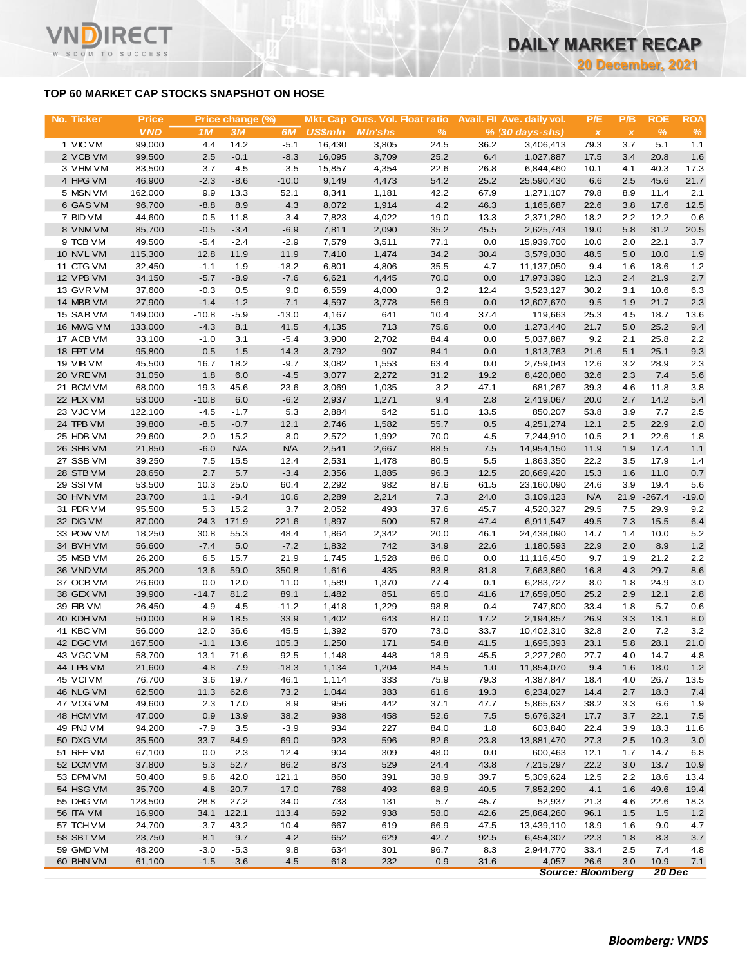### **TOP 60 MARKET CAP STOCKS SNAPSHOT ON HOSE**

T.

WISDOM TO SUCCESS

| No. Ticker             | <b>Price</b>     |               | Price change (%) |                   |                 | Mkt. Cap Outs. Vol. Float ratio |              |              | Avail. Fil Ave. daily vol. | P/E          | P/B          | <b>ROE</b>   | <b>ROA</b>   |
|------------------------|------------------|---------------|------------------|-------------------|-----------------|---------------------------------|--------------|--------------|----------------------------|--------------|--------------|--------------|--------------|
|                        | <b>VND</b>       | 1M            | 3M               | 6M                | <b>US\$mln</b>  | <b>MIn'shs</b>                  | %            |              | $% (30 days-shs)$          | $\pmb{\chi}$ | $\pmb{\chi}$ | $\%$         | $\%$         |
| 1 VIC VM               | 99,000           | 4.4           | 14.2             | $-5.1$            | 16,430          | 3,805                           | 24.5         | 36.2         | 3,406,413                  | 79.3         | 3.7          | 5.1          | 1.1          |
| 2 VCB VM               | 99,500           | 2.5           | $-0.1$           | $-8.3$            | 16,095          | 3,709                           | 25.2         | 6.4          | 1,027,887                  | 17.5         | 3.4          | 20.8         | 1.6          |
| 3 VHM VM<br>4 HPG VM   | 83,500<br>46,900 | 3.7<br>$-2.3$ | 4.5<br>$-8.6$    | $-3.5$<br>$-10.0$ | 15,857<br>9,149 | 4,354                           | 22.6<br>54.2 | 26.8<br>25.2 | 6,844,460<br>25,590,430    | 10.1<br>6.6  | 4.1<br>2.5   | 40.3<br>45.6 | 17.3<br>21.7 |
| 5 MSN VM               | 162,000          | 9.9           | 13.3             | 52.1              | 8,341           | 4,473<br>1,181                  | 42.2         | 67.9         | 1,271,107                  | 79.8         | 8.9          | 11.4         | 2.1          |
| 6 GAS VM               | 96,700           | $-8.8$        | 8.9              | 4.3               | 8,072           | 1,914                           | 4.2          | 46.3         | 1,165,687                  | 22.6         | 3.8          | 17.6         | 12.5         |
| 7 BID VM               | 44,600           | 0.5           | 11.8             | $-3.4$            | 7,823           | 4,022                           | 19.0         | 13.3         | 2,371,280                  | 18.2         | 2.2          | 12.2         | 0.6          |
| 8 VNM VM               | 85,700           | $-0.5$        | $-3.4$           | $-6.9$            | 7,811           | 2,090                           | 35.2         | 45.5         | 2,625,743                  | 19.0         | 5.8          | 31.2         | 20.5         |
| 9 TCB VM               | 49,500           | $-5.4$        | $-2.4$           | $-2.9$            | 7,579           | 3,511                           | 77.1         | 0.0          | 15,939,700                 | 10.0         | 2.0          | 22.1         | 3.7          |
| 10 NVL VM              | 115,300          | 12.8          | 11.9             | 11.9              | 7,410           | 1,474                           | 34.2         | 30.4         | 3,579,030                  | 48.5         | 5.0          | 10.0         | 1.9          |
| 11 CTG VM              | 32,450           | $-1.1$        | 1.9              | $-18.2$           | 6,801           | 4,806                           | 35.5         | 4.7          | 11,137,050                 | 9.4          | 1.6          | 18.6         | 1.2          |
| 12 VPB VM              | 34,150           | $-5.7$        | $-8.9$           | $-7.6$            | 6,621           | 4,445                           | 70.0         | 0.0          | 17,973,390                 | 12.3         | 2.4          | 21.9         | 2.7          |
| 13 GVR VM              | 37,600           | $-0.3$        | 0.5              | 9.0               | 6,559           | 4,000                           | 3.2          | 12.4         | 3,523,127                  | 30.2         | 3.1          | 10.6         | 6.3          |
| 14 MBB VM              | 27,900           | $-1.4$        | $-1.2$           | $-7.1$            | 4,597           | 3,778                           | 56.9         | 0.0          | 12,607,670                 | 9.5          | 1.9          | 21.7         | 2.3          |
| 15 SAB VM              | 149,000          | $-10.8$       | $-5.9$           | $-13.0$           | 4,167           | 641                             | 10.4         | 37.4         | 119,663                    | 25.3         | 4.5          | 18.7         | 13.6         |
| 16 MWG VM              | 133,000          | $-4.3$        | 8.1              | 41.5              | 4,135           | 713                             | 75.6         | 0.0          | 1,273,440                  | 21.7         | 5.0          | 25.2         | 9.4          |
| 17 ACB VM<br>18 FPT VM | 33,100           | $-1.0$        | 3.1              | $-5.4$            | 3,900           | 2,702                           | 84.4         | 0.0          | 5,037,887                  | 9.2          | 2.1          | 25.8         | 2.2          |
| <b>19 VIB VM</b>       | 95,800<br>45,500 | 0.5<br>16.7   | 1.5<br>18.2      | 14.3<br>$-9.7$    | 3,792<br>3,082  | 907<br>1,553                    | 84.1<br>63.4 | 0.0<br>0.0   | 1,813,763<br>2,759,043     | 21.6<br>12.6 | 5.1<br>3.2   | 25.1<br>28.9 | 9.3<br>2.3   |
| 20 VREVM               | 31,050           | 1.8           | 6.0              | $-4.5$            | 3,077           | 2,272                           | 31.2         | 19.2         | 8,420,080                  | 32.6         | 2.3          | 7.4          | 5.6          |
| 21 BCM VM              | 68,000           | 19.3          | 45.6             | 23.6              | 3,069           | 1,035                           | 3.2          | 47.1         | 681,267                    | 39.3         | 4.6          | 11.8         | 3.8          |
| 22 PLX VM              | 53,000           | $-10.8$       | 6.0              | $-6.2$            | 2,937           | 1,271                           | 9.4          | 2.8          | 2,419,067                  | 20.0         | 2.7          | 14.2         | 5.4          |
| 23 VJC VM              | 122,100          | $-4.5$        | $-1.7$           | 5.3               | 2,884           | 542                             | 51.0         | 13.5         | 850,207                    | 53.8         | 3.9          | 7.7          | 2.5          |
| 24 TPB VM              | 39,800           | $-8.5$        | $-0.7$           | 12.1              | 2,746           | 1,582                           | 55.7         | 0.5          | 4,251,274                  | 12.1         | 2.5          | 22.9         | 2.0          |
| 25 HDB VM              | 29,600           | $-2.0$        | 15.2             | 8.0               | 2,572           | 1,992                           | 70.0         | 4.5          | 7,244,910                  | 10.5         | 2.1          | 22.6         | 1.8          |
| 26 SHB VM              | 21,850           | $-6.0$        | <b>N/A</b>       | <b>N/A</b>        | 2,541           | 2,667                           | 88.5         | 7.5          | 14,954,150                 | 11.9         | 1.9          | 17.4         | 1.1          |
| 27 SSB VM              | 39,250           | 7.5           | 15.5             | 12.4              | 2,531           | 1,478                           | 80.5         | 5.5          | 1,863,350                  | 22.2         | 3.5          | 17.9         | 1.4          |
| 28 STB VM              | 28,650           | 2.7           | 5.7              | $-3.4$            | 2,356           | 1,885                           | 96.3         | 12.5         | 20,669,420                 | 15.3         | 1.6          | 11.0         | 0.7          |
| 29 SSI VM              | 53,500           | 10.3          | 25.0             | 60.4              | 2,292           | 982                             | 87.6         | 61.5         | 23,160,090                 | 24.6         | 3.9          | 19.4         | 5.6          |
| 30 HVN VM              | 23,700           | 1.1           | $-9.4$           | 10.6              | 2,289           | 2,214                           | 7.3          | 24.0         | 3,109,123                  | <b>N/A</b>   | 21.9         | $-267.4$     | $-19.0$      |
| 31 PDR VM              | 95,500           | 5.3           | 15.2             | 3.7               | 2,052           | 493                             | 37.6         | 45.7         | 4,520,327                  | 29.5         | 7.5          | 29.9<br>15.5 | 9.2          |
| 32 DIG VM<br>33 POW VM | 87,000<br>18,250 | 24.3<br>30.8  | 171.9<br>55.3    | 221.6<br>48.4     | 1,897<br>1,864  | 500<br>2,342                    | 57.8<br>20.0 | 47.4<br>46.1 | 6,911,547<br>24,438,090    | 49.5<br>14.7 | 7.3<br>1.4   | 10.0         | 6.4<br>5.2   |
| 34 BVHVM               | 56,600           | $-7.4$        | $5.0\,$          | $-7.2$            | 1,832           | 742                             | 34.9         | 22.6         | 1,180,593                  | 22.9         | 2.0          | 8.9          | 1.2          |
| 35 MSB VM              | 26,200           | 6.5           | 15.7             | 21.9              | 1,745           | 1,528                           | 86.0         | 0.0          | 11,116,450                 | 9.7          | 1.9          | 21.2         | 2.2          |
| 36 VND VM              | 85,200           | 13.6          | 59.0             | 350.8             | 1,616           | 435                             | 83.8         | 81.8         | 7,663,860                  | 16.8         | 4.3          | 29.7         | 8.6          |
| 37 OCB VM              | 26,600           | 0.0           | 12.0             | 11.0              | 1,589           | 1,370                           | 77.4         | 0.1          | 6,283,727                  | 8.0          | 1.8          | 24.9         | 3.0          |
| 38 GEX VM              | 39,900           | $-14.7$       | 81.2             | 89.1              | 1,482           | 851                             | 65.0         | 41.6         | 17,659,050                 | 25.2         | 2.9          | 12.1         | 2.8          |
| 39 EIB VM              | 26,450           | $-4.9$        | 4.5              | $-11.2$           | 1,418           | 1,229                           | 98.8         | 0.4          | 747,800                    | 33.4         | 1.8          | 5.7          | 0.6          |
| 40 KDH VM              | 50,000           | 8.9           | 18.5             | 33.9              | 1,402           | 643                             | 87.0         | 17.2         | 2,194,857                  | 26.9         | 3.3          | 13.1         | 8.0          |
| 41 KBC VM              | 56,000           | 12.0          | 36.6             | 45.5              | 1,392           | 570                             | 73.0         | 33.7         | 10,402,310                 | 32.8         | 2.0          | 7.2          | 3.2          |
| 42 DGC VM              | 167,500          | $-1.1$        | 13.6             | 105.3             | 1,250           | 171                             | 54.8         | 41.5         | 1,695,393                  | 23.1         | 5.8          | 28.1         | 21.0         |
| 43 VGC VM              | 58,700           | 13.1          | 71.6             | 92.5              | 1,148           | 448                             | 18.9         | 45.5         | 2,227,260                  | 27.7         | 4.0          | 14.7         | 4.8          |
| 44 LPB VM              | 21,600           | $-4.8$        | $-7.9$           | $-18.3$           | 1,134           | 1,204                           | 84.5         | 1.0          | 11,854,070                 | 9.4          | 1.6          | 18.0         | $1.2$        |
| 45 VCIVM               | 76,700           | 3.6           | 19.7             | 46.1              | 1,114           | 333                             | 75.9         | 79.3         | 4,387,847                  | 18.4         | 4.0          | 26.7         | 13.5         |
| 46 NLG VM<br>47 VCG VM | 62,500<br>49,600 | 11.3<br>2.3   | 62.8<br>17.0     | 73.2<br>8.9       | 1,044<br>956    | 383<br>442                      | 61.6<br>37.1 | 19.3<br>47.7 | 6,234,027<br>5,865,637     | 14.4<br>38.2 | 2.7<br>3.3   | 18.3<br>6.6  | 7.4<br>1.9   |
| 48 HCM VM              | 47,000           | 0.9           | 13.9             | 38.2              | 938             | 458                             | 52.6         | 7.5          | 5,676,324                  | 17.7         | 3.7          | 22.1         | 7.5          |
| 49 PNJ VM              | 94,200           | $-7.9$        | 3.5              | $-3.9$            | 934             | 227                             | 84.0         | 1.8          | 603,840                    | 22.4         | 3.9          | 18.3         | 11.6         |
| 50 DXG VM              | 35,500           | 33.7          | 84.9             | 69.0              | 923             | 596                             | 82.6         | 23.8         | 13,881,470                 | 27.3         | 2.5          | 10.3         | 3.0          |
| 51 REE VM              | 67,100           | 0.0           | 2.3              | 12.4              | 904             | 309                             | 48.0         | 0.0          | 600,463                    | 12.1         | 1.7          | 14.7         | 6.8          |
| 52 DCM VM              | 37,800           | 5.3           | 52.7             | 86.2              | 873             | 529                             | 24.4         | 43.8         | 7,215,297                  | 22.2         | 3.0          | 13.7         | 10.9         |
| 53 DPM VM              | 50,400           | 9.6           | 42.0             | 121.1             | 860             | 391                             | 38.9         | 39.7         | 5,309,624                  | 12.5         | 2.2          | 18.6         | 13.4         |
| 54 HSG VM              | 35,700           | $-4.8$        | $-20.7$          | $-17.0$           | 768             | 493                             | 68.9         | 40.5         | 7,852,290                  | 4.1          | 1.6          | 49.6         | 19.4         |
| 55 DHG VM              | 128,500          | 28.8          | 27.2             | 34.0              | 733             | 131                             | 5.7          | 45.7         | 52,937                     | 21.3         | 4.6          | 22.6         | 18.3         |
| <b>56 ITA VM</b>       | 16,900           | 34.1          | 122.1            | 113.4             | 692             | 938                             | 58.0         | 42.6         | 25,864,260                 | 96.1         | $1.5$        | 1.5          | 1.2          |
| 57 TCH VM              | 24,700           | $-3.7$        | 43.2             | 10.4              | 667             | 619                             | 66.9         | 47.5         | 13,439,110                 | 18.9         | 1.6          | 9.0          | 4.7          |
| 58 SBT VM              | 23,750           | $-8.1$        | 9.7              | 4.2               | 652             | 629                             | 42.7         | 92.5         | 6,454,307                  | 22.3         | 1.8          | 8.3          | $3.7\,$      |
| 59 GMD VM              | 48,200           | $-3.0$        | $-5.3$           | 9.8               | 634             | 301                             | 96.7         | 8.3          | 2,944,770                  | 33.4         | 2.5          | 7.4          | 4.8          |
| 60 BHN VM              | 61,100           | $-1.5$        | $-3.6$           | $-4.5$            | 618             | 232                             | 0.9          | 31.6         | 4,057                      | 26.6         | 3.0          | 10.9         | 7.1          |